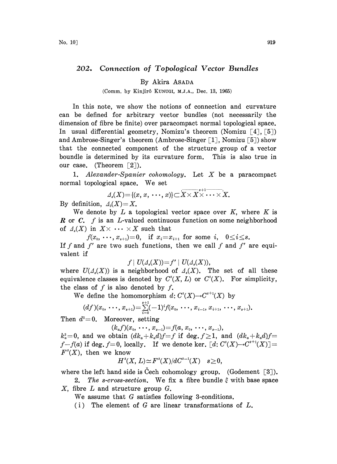## 202. Connection of Topological Vector Bundles

## By Akira ASADA

(Comm. by Kinjir6 KUNUGI, M.J.A., Dec. 13, 1965)

In this note, we show the notions of connection and curvature can be defined for arbitrary vector bundles (not necessarily the dimension of fibre be finite) over paracompact normal topological space. In usual differential geometry, Nomizu's theorem (Nomizu  $[4]$ ,  $[5]$ ) and Ambrose-Singer's theorem (Ambrose-Singer  $\lceil 1 \rceil$ , Nomizu  $\lceil 5 \rceil$ ) show that the connected component of the structure group of a vector boundle is determined by its curvature form. This is also true in our case. (Theorem  $\lceil 2 \rceil$ ).

1. Alexander-Spanier cohomology. Let  $X$  be a paracompact normal topological space. We set  $\mathbb{W}$ e set<br>  $\mathbb{W}$ e set<br>  $\{x, \dots, x\} \subset \overline{X \times X}^{s+1} \dots \times$ 

By definition,  $\Delta_0(X)=X$ .

We denote by  $L$  a topological vector space over  $K$ , where  $K$  is **R** or C. f is an L-valued continuous function on some neighborhood of  $\Lambda_s(X)$  in  $X \times \cdots \times X$  such that

 $f(x_0, \dots, x_{s+1})=0$ , if  $x_i=x_{i+1}$  for some i,  $0 \le i \le s$ . If f and f' are two such functions, then we call f and f' are equivalent if

$$
f \mid U(\varDelta_{\mathfrak{s}}(X)) = f' \mid U(\varDelta_{\mathfrak{s}}(X)),
$$

where  $U(\Lambda_s(X))$  is a neighborhood of  $\Lambda_s(X)$ . The set of all these equivalence classes is denoted by  $C^{s}(X, L)$  or  $C^{s}(X)$ . For simplicity, the class of  $f$  is also denoted by  $f$ .

We define the homomorphism  $d: C^{s}(X) \rightarrow C^{s+1}(X)$  by

$$
(df)(x_0, \cdots, x_{s+1}) = \sum_{i=0}^{s+1} (-1)^i f(x_0, \cdots, x_{i-1}, x_{i+1}, \cdots, x_{s+1}).
$$

Then  $d^2=0$ . Moreover, setting

 $(k_a f)(x_0, \ldots, x_{s-1}) = f(a, x_0, \ldots, x_{s-1}),$ 

 $k_a^2=0$ , and we obtain  $(dk_a+k_ad)f=f$  if deg.  $f\geq 1$ , and  $(dk_a+k_ad)f=$  $f-f(a)$  if deg.  $f=0$ , locally. If we denote ker.  $\lceil d: C^{s}(X) \rightarrow C^{s+1}(X) \rceil =$  $F<sup>s</sup>(X)$ , then we know

$$
H^s(X, L) \simeq F^s(X)/dC^{s-1}(X) \quad s \ge 0,
$$

where the left hand side is Čech cohomology group. (Godement  $\lceil 3 \rceil$ ).

2. The s-cross-section. We fix a fibre bundle  $\xi$  with base space X, fibre L and structure group G.

We assume that G satisfies following 3-conditions.

(i) The element of G are linear transformations of  $L$ .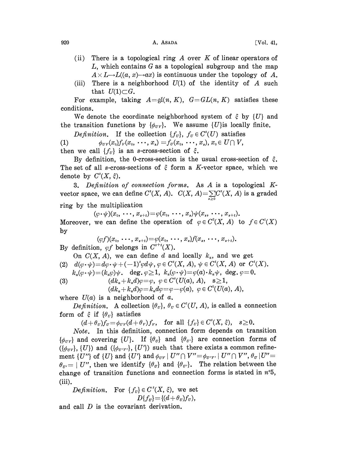## $920$  A. ASADA [Vol. 41,

- (ii) There is a topological ring  $A$  over  $K$  of linear operators of  $L$ , which contains G as a topological subgroup and the map  $A \times L \rightarrow L((a, x) \rightarrow ax)$  is continuous under the topology of A.
- (iii) There is a neighborhood  $U(1)$  of the identity of A such that  $U(1) \subset G$ .

For example, taking  $A = \mathfrak{gl}(n, K)$ ,  $G = GL(n, K)$  satisfies these conditions.

We denote the coordinate neighborhood system of  $\xi$  by  ${U}$  and the transition functions by  $\{\phi_{\mu\nu}\}$ . We assume  $\{U\}$ is locally finite.

*Definition.* If the collection  $\{f_v\}$ ,  $f_v \in C^s(U)$  satisfies (1)  $\phi_{\sigma v}(x_0)f_{\nu}(x_0, \ldots, x_s) = f_{\sigma}(x_0, \ldots, x_s), x_0 \in U \cap V,$ then we call  $\{f_{\mu}\}\$ is an s-cross-section of  $\xi$ .

By definition, the 0-cross-section is the usual cross-section of  $\xi$ . The set of all s-cross-sections of  $\xi$  form a K-vector space, which we denote by  $C^{s}(X, \xi)$ .

3. Definition of connection forms. As A is <sup>a</sup> topological Kvector space, we can define  $C^s(X,\,A)$ .  $C(X,\,A){=}\sum\limits_{s\geq 0}C^s(X,\,A)$  is a graded ring by the multiplication

 $(\varphi \cdot \psi)(x_0, \ldots, x_{s+t}) = \varphi(x_0, \ldots, x_s) \psi(x_s, \ldots, x_{s+t}).$ Moreover, we can define the operation of  $\varphi \in C^{3}(X, A)$  to  $f \in C^{t}(X)$ by

 $(\varphi f)(x_0, \ldots, x_{s+t}) = \varphi(x_0, \ldots, x_s) f(x_s, \ldots, x_{s+t}).$ By definition,  $\varphi f$  belongs in  $C^{s+t}(X)$ .

On  $C(X, A)$ , we can define d and locally  $k_a$ , and we get

(2)  $d(\varphi \cdot \psi) = d\varphi \cdot \psi + (-1)^s \varphi d\psi, \varphi \in C^s(X, A), \psi \in C^t(X, A)$  or  $C^t(X)$ .  $k_a(\varphi \cdot \psi) = (k_a \varphi) \psi$ . deg.  $\varphi \ge 1$ ,  $k_a(\varphi \cdot \psi) = \varphi(a) \cdot k_a \psi$ , deg.  $\varphi = 0$ .

(3)  $(dk_a + k_a d)\varphi = \varphi, \; \varphi \in C^s(U(a), A), \; s \ge 1,$ 

 $(dk_a+k_ad)\varphi=k_ad\varphi=\varphi-\varphi(a), \varphi \in C^0(U(a), A),$ 

where  $U(a)$  is a neighborhood of a.

*Definition.* A collection  $\{\theta_v\}$ ,  $\theta_v \in C^1(U, A)$ , is called a connection form of  $\xi$  if  $\{\theta_v\}$  satisfies  $f \in \text{if } \{\theta_v\} \text{ satisfies}$ <br>  $(d + \theta_v)f_v = \phi_{\sigma v}(d + \theta_v)f_v, \text{ for all } \{f_v\} \in C^s(X, \xi), \quad s \geq 0.$ 

Note. In this definition, connection form depends on transition  $\{\phi_{\sigma\nu}\}\$  and covering  $\{U\}$ . If  $\{\theta_{\sigma}\}\$  and  $\{\theta_{\sigma'}\}\$  are connection forms of  $({\phi_{\sigma r}}, {U})$  and  $({\phi_{\sigma r r}}, {U'})$  such that there exists a common refinement  $\{U''\}$  of  $\{U\}$  and  $\{U'\}$  and  $\phi_{UV} \mid U'' \cap V'' = \phi_{U'V'} \mid U'' \cap V'', \theta_{U'} \mid U'' =$  $\theta_{\sigma} = | U''|$ , then we identify  $\{\theta_{\sigma}\}\$  and  $\{\theta_{\sigma'}\}\$ . The relation between the change of transition functions and connection forms is stated in  $n<sup>o</sup>5$ , (iii).

*Definition.* For  ${f<sub>v</sub>} \in C<sup>s</sup>(X, \xi)$ , we set  $D{f<sub>U</sub>} = {(d+\theta<sub>U</sub>)f<sub>U</sub>},$ 

and call D is the covariant derivation.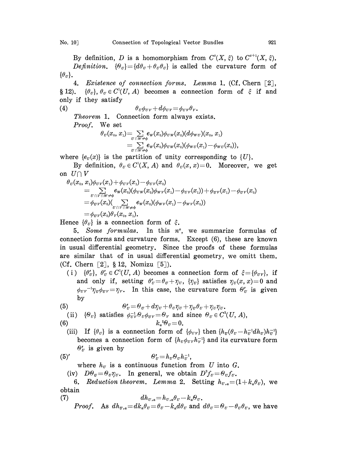By definition, D is a homomorphism from  $C^{s}(X, \xi)$  to  $C^{s+1}(X, \xi)$ . Definition.  $\{\Theta_{\nu}\} = \{d\theta_{\nu} + \theta_{\nu}\theta_{\nu}\}\$ is called the curvature form of  $\{\theta_{\nu}\}.$ 

4. Existence of connection forms. Lemma 1. (Cf. Chern [2], § 12).  $\{\theta_{\nu}\}, \theta_{\nu} \in C^1(U, A)$  becomes a connection form of  $\xi$  if and only if they satisfy

(4)  $\theta_{\nu}\phi_{\nu\gamma}+d\phi_{\nu\gamma}=\phi_{\nu\gamma}\theta_{\gamma}$ .

Theorem 1. Connection form always exists. Proof. We set

*Proof.* we set  
\n
$$
\theta_U(x_0, x_1) = \sum_{\substack{U \cap W \neq \phi \\ U \cap W \neq \phi}} e_W(x_0) \phi_{UW}(x_0) (d\phi_{WU})(x_0, x_1)
$$
\n
$$
= \sum_{\substack{U \cap W \neq \phi \\ U \cap W \neq \phi}} e_W(x_0) \phi_{UW}(x_0) (\phi_{WU}(x_1) - \phi_{WU}(x_0)),
$$
\nwhere  $\{e_U(x)\}$  is the partition of unity corresponding to  $\{U\}$ .

By definition,  $\theta_{\nu} \in C^{1}(X, A)$  and  $\theta_{\nu}(x, x)=0$ . Moreover, we get on  $U \cap V$ <br> $\theta_n(x_0, x_0)$ 

$$
\begin{array}{llll} \theta_{\scriptscriptstyle U}(x_{\scriptscriptstyle 0},x_{\scriptscriptstyle 1})\phi_{\scriptscriptstyle UV}(x_{\scriptscriptstyle 1})+\phi_{\scriptscriptstyle UV}(x_{\scriptscriptstyle 1})-\phi_{\scriptscriptstyle UV}(x_{\scriptscriptstyle 0}) \\ = & \sum\limits_{\scriptscriptstyle U\sqcap V\sqcap W\neq\phi}\hspace*{-2mm}e_{\scriptscriptstyle W}(x_{\scriptscriptstyle 0})(\phi_{\scriptscriptstyle UV}(x_{\scriptscriptstyle 0})\phi_{\scriptscriptstyle W V}(x_{\scriptscriptstyle 1})-\phi_{\scriptscriptstyle UV}(x_{\scriptscriptstyle 1})) +\phi_{\scriptscriptstyle UV}(x_{\scriptscriptstyle 1})-\phi_{\scriptscriptstyle UV}(x_{\scriptscriptstyle 0}) \\ = & \phi_{\scriptscriptstyle UV}(x_{\scriptscriptstyle 0})(\sum\limits_{\scriptscriptstyle U\sqcap V\sqcap W\neq\phi}\hspace*{-2mm}e_{\scriptscriptstyle W}(x_{\scriptscriptstyle 0})(\phi_{\scriptscriptstyle W V}(x_{\scriptscriptstyle 1})-\phi_{\scriptscriptstyle W V}(x_{\scriptscriptstyle 0})) \\ = & \phi_{\scriptscriptstyle UV}(x_{\scriptscriptstyle 0})\theta_{\scriptscriptstyle V}(x_{\scriptscriptstyle 0},x_{\scriptscriptstyle 1}). \end{array}
$$

Hence  $\{\theta_{\eta}\}\$ is a connection form of  $\xi$ .

5. Some formulas. In this  $n^{\circ}$ , we summarize formulas of connection forms and curvature forms. Except (6), these are known in usual differential geometry. Since the proofs of these formulas are similar that of in usual differential geometry, we omitt them. (Cf. Chern  $\lceil 2 \rceil$ , § 12, Nomizu  $\lceil 5 \rceil$ ).

(i)  $\{\theta'_v\}, \theta'_v \in C^1(U, A)$  becomes a connection form of  $\xi = {\phi_{\tau\nu}}$ , if  $\{\theta_{\sigma}\}, \ \theta_{\sigma} \in C(U, A)$  becomes a connection form of  $\xi = \{\theta_{\sigma \nu}\},$  if<br>and only if, setting  $\theta_{\sigma}^{\prime} = \theta_{\sigma} + \eta_{\sigma}$ ,  $\{\eta_{\sigma}\}$  satisfies  $\eta_{\sigma}(x, x) = 0$  and<br> $\phi_{\sigma \nu} = \eta_{\sigma}$ . In this case, the curvature form  $\theta_{\sigma$ by  $\phi_{\nu\nu}^{\mu\nu}$  =  $\eta_{\nu} = \eta_{\nu}$ . In this case, the curvature form  $\theta_{\nu}$  is given

$$
\text{(5)} \qquad \theta'_U = \theta_U + d\eta_U + \theta_U \eta_U + \eta_U \theta_U + \eta_U \eta_U.
$$

(ii) 
$$
\{\theta_v\}
$$
 satisfies  $\phi_{\sigma v}^{-1} \theta_v \phi_{\sigma v} = \theta_v$  and since  $\theta_v \in C^2(U, A)$ ,

$$
(6) \t\t k_a{}^2\Theta_{\scriptscriptstyle U} = 0
$$

(iii) If  $\{\theta_{U}\}\$ is a connection form of  $\{\phi_{UV}\}\$  then  $\{h_{U}(\theta_{U}-h_{U}^{-1}dh_{U})h_{U}^{-1}\}$ becomes a connection form of  $\{h_{\nu}\phi_{\nu\nu}h_{\nu}^{-1}\}$  and its curvature form  $\theta'_\n\pi$  is given by

$$
(5)'
$$

$$
\Theta'_{\sigma} = h_{\sigma} \Theta_{\sigma} h_{\sigma}^{-1},
$$

where  $h_{\sigma}$  is a continuous function from U into G.

(iv)  $D\Theta_{\nu} = \Theta_{\nu}\eta_{\nu}$ . In general, we obtain  $D^2f_{\nu} = \Theta_{\nu}f_{\nu}$ .

6. Reduction theorem. Lemma 2. Setting  $h_{\sigma,a} = (1 + k_a \theta_{\sigma})$ , we obtain

(7) 
$$
dh_{\sigma,a} = h_{\sigma,a}\theta_{\sigma} - k_a\theta_{\sigma}.
$$
  
Proof. As  $dh_{\sigma,a} = dk_a\theta_{\sigma} = \theta_{\sigma} - k_a d\theta_{\sigma}$  and  $d\theta_{\sigma} = \theta_{\sigma} - \theta_{\sigma}\theta_{\sigma}$ , we have